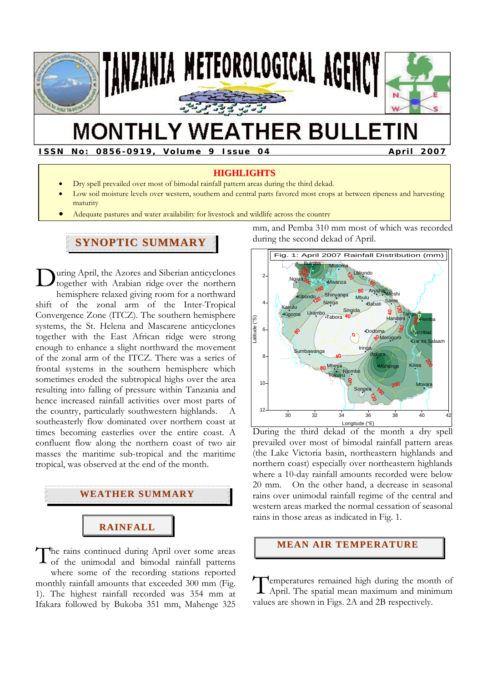

# **MONTHLY WEATHER BULLETIN**

**ISSN No: 0856-0919, Volume 9 Issue 04 April 2007** 

#### **HIGHLIGHTS**

- Dry spell prevailed over most of bimodal rainfall pattern areas during the third dekad.
- Low soil moisture levels over western, southern and central parts favored most crops at between ripeness and harvesting maturity
- Adequate pastures and water availability for livestock and wildlife across the country

# **SYNOPTIC SUMMARY**

uring April, the Azores and Siberian anticyclones together with Arabian ridge over the northern hemisphere relaxed giving room for a northward shift of the zonal arm of the Inter-Tropical Convergence Zone (ITCZ). The southern hemisphere systems, the St. Helena and Mascarene anticyclones together with the East African ridge were strong enough to enhance a slight northward the movement of the zonal arm of the ITCZ. There was a series of frontal systems in the southern hemisphere which sometimes eroded the subtropical highs over the area resulting into falling of pressure within Tanzania and hence increased rainfall activities over most parts of the country, particularly southwestern highlands. southeasterly flow dominated over northern coast at times becoming easterlies over the entire coast. A confluent flow along the northern coast of two air masses the maritime sub-tropical and the maritime tropical, was observed at the end of the month.  $\mathbf{D}_{\text{to}}^{\text{un}}$ 



he rains continued during April over some areas of the unimodal and bimodal rainfall patterns where some of the recording stations reported monthly rainfall amounts that exceeded 300 mm (Fig. 1). The highest rainfall recorded was 354 mm at Ifakara followed by Bukoba 351 mm, Mahenge 325 T

mm, and Pemba 310 mm most of which was recorded during the second dekad of April.



During the third dekad of the month a dry spell prevailed over most of bimodal rainfall pattern areas (the Lake Victoria basin, northeastern highlands and northern coast) especially over northeastern highlands where a 10-day rainfall amounts recorded were below 20 mm. On the other hand, a decrease in seasonal rains over unimodal rainfall regime of the central and western areas marked the normal cessation of seasonal rains in those areas as indicated in Fig. 1.

# **MEAN AIR TEMPERATURE**

**Pemperatures remained high during the month of** Temperatures remained high during the month of April. The spatial mean maximum and minimum values are shown in Figs. 2A and 2B respectively.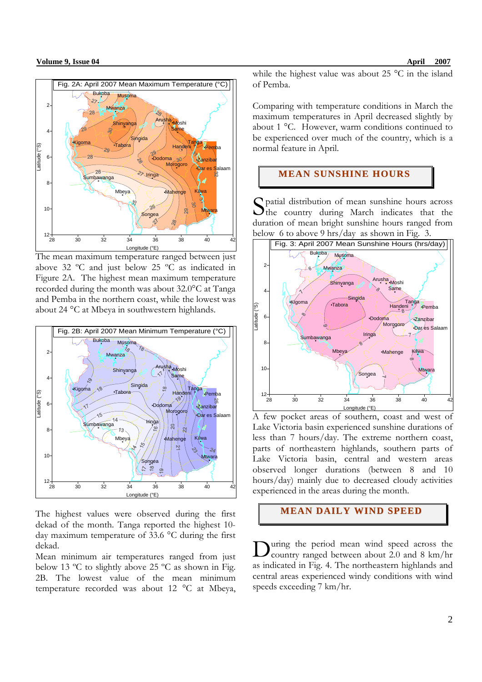

The mean maximum temperature ranged between just above 32 ºC and just below 25 ºC as indicated in Figure 2A. The highest mean maximum temperature recorded during the month was about 32.0°C at Tanga and Pemba in the northern coast, while the lowest was about 24 °C at Mbeya in southwestern highlands.



The highest values were observed during the first dekad of the month. Tanga reported the highest 10 day maximum temperature of 33.6 °C during the first dekad.

Mean minimum air temperatures ranged from just below 13 ºC to slightly above 25 ºC as shown in Fig. 2B. The lowest value of the mean minimum temperature recorded was about 12 °C at Mbeya, while the highest value was about 25 °C in the island of Pemba.

Comparing with temperature conditions in March the maximum temperatures in April decreased slightly by about 1 °C. However, warm conditions continued to be experienced over much of the country, which is a normal feature in April.

# **MEAN SUNSHINE HOURS**

patial distribution of mean sunshine hours across Spatial distribution of mean sunshine hours across<br>the country during March indicates that the duration of mean bright sunshine hours ranged from below 6 to above 9 hrs/day as shown in Fig. 3.



A few pocket areas of southern, coast and west of Lake Victoria basin experienced sunshine durations of less than 7 hours/day. The extreme northern coast, parts of northeastern highlands, southern parts of Lake Victoria basin, central and western areas observed longer durations (between 8 and 10 hours/day) mainly due to decreased cloudy activities experienced in the areas during the month.

# **MEAN DAILY WIND SPEED**

uring the period mean wind speed across the country ranged between about 2.0 and 8 km/hr as indicated in Fig. 4. The northeastern highlands and central areas experienced windy conditions with wind speeds exceeding 7 km/hr. D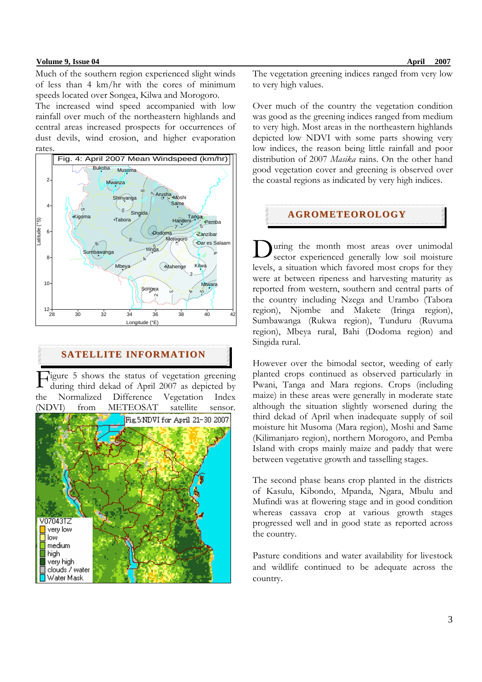### **Volume 9, Issue 04 April 2007**

Much of the southern region experienced slight winds of less than 4 km/hr with the cores of minimum speeds located over Songea, Kilwa and Morogoro.

The increased wind speed accompanied with low rainfall over much of the northeastern highlands and central areas increased prospects for occurrences of dust devils, wind erosion, and higher evaporation rates.



# **SATELLITE INFORMATION**

Figure 5 shows the status of vegetation greening<br>during third dekad of April 2007 as depicted by during third dekad of April 2007 as depicted by the Normalized Difference Vegetation Index (NDVI) from METEOSAT satellite sensor.



The vegetation greening indices ranged from very low to very high values.

Over much of the country the vegetation condition was good as the greening indices ranged from medium to very high. Most areas in the northeastern highlands depicted low NDVI with some parts showing very low indices, the reason being little rainfall and poor distribution of 2007 *Masika* rains. On the other hand good vegetation cover and greening is observed over the coastal regions as indicated by very high indices.

# **AGROMETEOROLOGY**

uring the month most areas over unimodal sector experienced generally low soil moisture levels, a situation which favored most crops for they were at between ripeness and harvesting maturity as reported from western, southern and central parts of the country including Nzega and Urambo (Tabora region), Njombe and Makete (Iringa region), Sumbawanga (Rukwa region), Tunduru (Ruvuma region), Mbeya rural, Bahi (Dodoma region) and Singida rural. D

However over the bimodal sector, weeding of early planted crops continued as observed particularly in Pwani, Tanga and Mara regions. Crops (including maize) in these areas were generally in moderate state although the situation slightly worsened during the third dekad of April when inadequate supply of soil moisture hit Musoma (Mara region), Moshi and Same (Kilimanjaro region), northern Morogoro, and Pemba Island with crops mainly maize and paddy that were between vegetative growth and tasselling stages.

The second phase beans crop planted in the districts of Kasulu, Kibondo, Mpanda, Ngara, Mbulu and Mufindi was at flowering stage and in good condition whereas cassava crop at various growth stages progressed well and in good state as reported across the country.

Pasture conditions and water availability for livestock and wildlife continued to be adequate across the country.